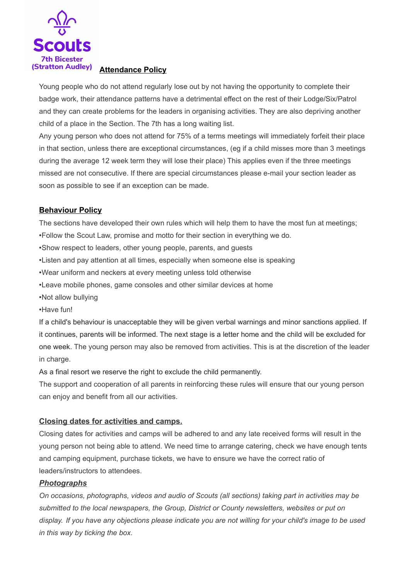

## **Attendance Policy**

Young people who do not attend regularly lose out by not having the opportunity to complete their badge work, their attendance patterns have a detrimental effect on the rest of their Lodge/Six/Patrol and they can create problems for the leaders in organising activities. They are also depriving another child of a place in the Section. The 7th has a long waiting list.

Any young person who does not attend for 75% of a terms meetings will immediately forfeit their place in that section, unless there are exceptional circumstances, (eg if a child misses more than 3 meetings during the average 12 week term they will lose their place) This applies even if the three meetings missed are not consecutive. If there are special circumstances please e-mail your section leader as soon as possible to see if an exception can be made.

## **Behaviour Policy**

The sections have developed their own rules which will help them to have the most fun at meetings; •Follow the Scout Law, promise and motto for their section in everything we do.

•Show respect to leaders, other young people, parents, and guests

•Listen and pay attention at all times, especially when someone else is speaking

•Wear uniform and neckers at every meeting unless told otherwise

•Leave mobile phones, game consoles and other similar devices at home

•Not allow bullying

•Have fun!

If a child's behaviour is unacceptable they will be given verbal warnings and minor sanctions applied. If it continues, parents will be informed. The next stage is a letter home and the child will be excluded for one week. The young person may also be removed from activities. This is at the discretion of the leader in charge.

As a final resort we reserve the right to exclude the child permanently.

The support and cooperation of all parents in reinforcing these rules will ensure that our young person can enjoy and benefit from all our activities.

## **Closing dates for activities and camps.**

Closing dates for activities and camps will be adhered to and any late received forms will result in the young person not being able to attend. We need time to arrange catering, check we have enough tents and camping equipment, purchase tickets, we have to ensure we have the correct ratio of leaders/instructors to attendees.

## *Photographs*

*On occasions, photographs, videos and audio of Scouts (all sections) taking part in activities may be submitted to the local newspapers, the Group, District or County newsletters, websites or put on display. If you have any objections please indicate you are not willing for your child's image to be used in this way by ticking the box.*